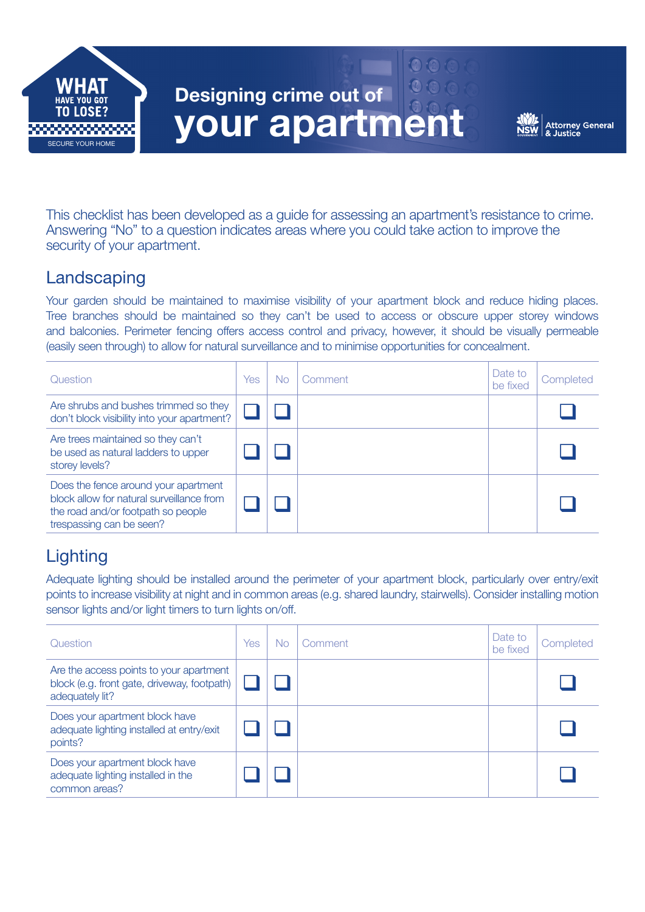

 $0005$ 



This checklist has been developed as a guide for assessing an apartment's resistance to crime. Answering "No" to a question indicates areas where you could take action to improve the security of your apartment.

## **Landscaping**

Your garden should be maintained to maximise visibility of your apartment block and reduce hiding places. Tree branches should be maintained so they can't be used to access or obscure upper storey windows and balconies. Perimeter fencing offers access control and privacy, however, it should be visually permeable (easily seen through) to allow for natural surveillance and to minimise opportunities for concealment.

| Question                                                                                                                                            | Yes | No | Comment | Date to<br>be fixed | Completed |
|-----------------------------------------------------------------------------------------------------------------------------------------------------|-----|----|---------|---------------------|-----------|
| Are shrubs and bushes trimmed so they<br>don't block visibility into your apartment?                                                                |     |    |         |                     |           |
| Are trees maintained so they can't<br>be used as natural ladders to upper<br>storey levels?                                                         |     |    |         |                     |           |
| Does the fence around your apartment<br>block allow for natural surveillance from<br>the road and/or footpath so people<br>trespassing can be seen? |     |    |         |                     |           |

# **Lighting**

Adequate lighting should be installed around the perimeter of your apartment block, particularly over entry/exit points to increase visibility at night and in common areas (e.g. shared laundry, stairwells). Consider installing motion sensor lights and/or light timers to turn lights on/off.

| Question                                                                                                  | Yes | <b>No</b> | Comment | Date to<br>be fixed | Completed |
|-----------------------------------------------------------------------------------------------------------|-----|-----------|---------|---------------------|-----------|
| Are the access points to your apartment<br>block (e.g. front gate, driveway, footpath)<br>adequately lit? |     |           |         |                     |           |
| Does your apartment block have<br>adequate lighting installed at entry/exit<br>points?                    |     |           |         |                     |           |
| Does your apartment block have<br>adequate lighting installed in the<br>common areas?                     |     |           |         |                     |           |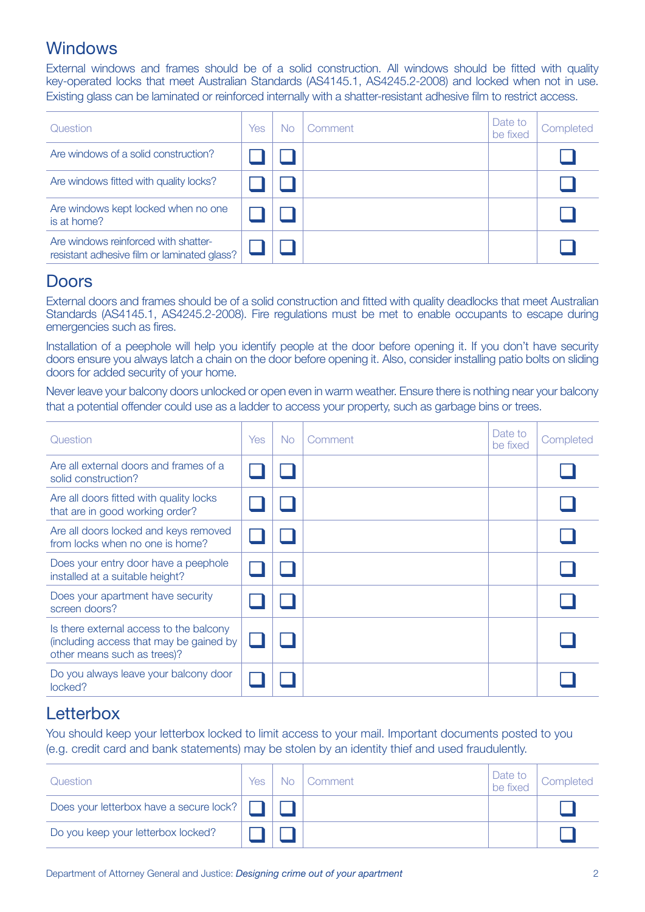### **Windows**

External windows and frames should be of a solid construction. All windows should be fitted with quality key-operated locks that meet Australian Standards (AS4145.1, AS4245.2-2008) and locked when not in use. Existing glass can be laminated or reinforced internally with a shatter-resistant adhesive film to restrict access.

| Question                                                                            | Yes | No. | Comment | Date to<br>be fixed | Completed |
|-------------------------------------------------------------------------------------|-----|-----|---------|---------------------|-----------|
| Are windows of a solid construction?                                                |     |     |         |                     |           |
| Are windows fitted with quality locks?                                              |     |     |         |                     |           |
| Are windows kept locked when no one<br>is at home?                                  |     |     |         |                     |           |
| Are windows reinforced with shatter-<br>resistant adhesive film or laminated glass? |     |     |         |                     |           |

### Doors

External doors and frames should be of a solid construction and fitted with quality deadlocks that meet Australian Standards (AS4145.1, AS4245.2-2008). Fire regulations must be met to enable occupants to escape during emergencies such as fires.

Installation of a peephole will help you identify people at the door before opening it. If you don't have security doors ensure you always latch a chain on the door before opening it. Also, consider installing patio bolts on sliding doors for added security of your home.

Never leave your balcony doors unlocked or open even in warm weather. Ensure there is nothing near your balcony that a potential offender could use as a ladder to access your property, such as garbage bins or trees.

| Question                                                                                                          | <b>Yes</b> | No. | Comment | Date to<br>be fixed | Completed |
|-------------------------------------------------------------------------------------------------------------------|------------|-----|---------|---------------------|-----------|
| Are all external doors and frames of a<br>solid construction?                                                     |            |     |         |                     |           |
| Are all doors fitted with quality locks<br>that are in good working order?                                        |            |     |         |                     |           |
| Are all doors locked and keys removed<br>from locks when no one is home?                                          |            |     |         |                     |           |
| Does your entry door have a peephole<br>installed at a suitable height?                                           |            |     |         |                     |           |
| Does your apartment have security<br>screen doors?                                                                |            |     |         |                     |           |
| Is there external access to the balcony<br>(including access that may be gained by<br>other means such as trees)? |            |     |         |                     |           |
| Do you always leave your balcony door<br>locked?                                                                  |            |     |         |                     |           |

## Letterbox

You should keep your letterbox locked to limit access to your mail. Important documents posted to you (e.g. credit card and bank statements) may be stolen by an identity thief and used fraudulently.

| Question                                       | Yes | No. | Comment | Date to<br>be fixed | Completed |
|------------------------------------------------|-----|-----|---------|---------------------|-----------|
| Does your letterbox have a secure lock? $\Box$ |     |     |         |                     |           |
| Do you keep your letterbox locked?             |     |     |         |                     |           |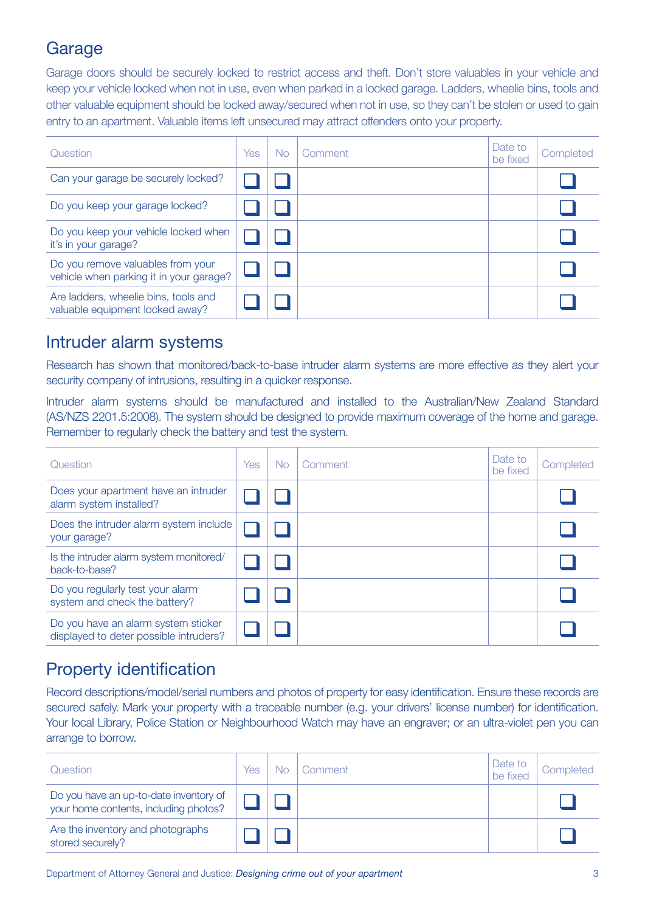## Garage

Garage doors should be securely locked to restrict access and theft. Don't store valuables in your vehicle and keep your vehicle locked when not in use, even when parked in a locked garage. Ladders, wheelie bins, tools and other valuable equipment should be locked away/secured when not in use, so they can't be stolen or used to gain entry to an apartment. Valuable items left unsecured may attract offenders onto your property.

| Question                                                                     | Yes | <b>No</b> | Comment | Date to<br>be fixed | Completed |
|------------------------------------------------------------------------------|-----|-----------|---------|---------------------|-----------|
| Can your garage be securely locked?                                          |     |           |         |                     |           |
| Do you keep your garage locked?                                              |     |           |         |                     |           |
| Do you keep your vehicle locked when<br>it's in your garage?                 |     |           |         |                     |           |
| Do you remove valuables from your<br>vehicle when parking it in your garage? |     |           |         |                     |           |
| Are ladders, wheelie bins, tools and<br>valuable equipment locked away?      |     |           |         |                     |           |

### Intruder alarm systems

Research has shown that monitored/back-to-base intruder alarm systems are more effective as they alert your security company of intrusions, resulting in a quicker response.

Intruder alarm systems should be manufactured and installed to the Australian/New Zealand Standard (AS/NZS 2201.5:2008). The system should be designed to provide maximum coverage of the home and garage. Remember to regularly check the battery and test the system.

| Question                                                                      | Yes | <b>No</b> | Comment | Date to<br>be fixed | Completed |
|-------------------------------------------------------------------------------|-----|-----------|---------|---------------------|-----------|
| Does your apartment have an intruder<br>alarm system installed?               |     |           |         |                     |           |
| Does the intruder alarm system include<br>your garage?                        |     |           |         |                     |           |
| Is the intruder alarm system monitored/<br>back-to-base?                      |     |           |         |                     |           |
| Do you regularly test your alarm<br>system and check the battery?             |     |           |         |                     |           |
| Do you have an alarm system sticker<br>displayed to deter possible intruders? |     |           |         |                     |           |

## Property identification

Record descriptions/model/serial numbers and photos of property for easy identification. Ensure these records are secured safely. Mark your property with a traceable number (e.g. your drivers' license number) for identification. Your local Library, Police Station or Neighbourhood Watch may have an engraver; or an ultra-violet pen you can arrange to borrow.

| Question                                                                        | Yes | No | Comment | Date to<br>be fixed | Completed |
|---------------------------------------------------------------------------------|-----|----|---------|---------------------|-----------|
| Do you have an up-to-date inventory of<br>your home contents, including photos? |     |    |         |                     |           |
| Are the inventory and photographs<br>stored securely?                           |     |    |         |                     |           |